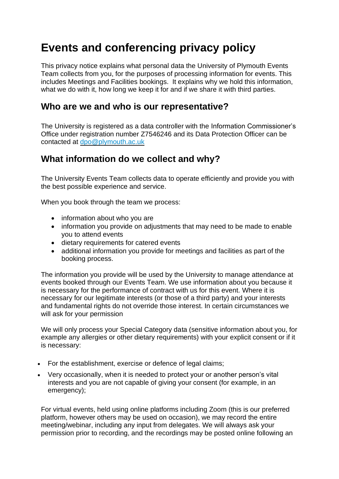# **Events and conferencing privacy policy**

This privacy notice explains what personal data the University of Plymouth Events Team collects from you, for the purposes of processing information for events. This includes Meetings and Facilities bookings. It explains why we hold this information, what we do with it, how long we keep it for and if we share it with third parties.

#### **Who are we and who is our representative?**

The University is registered as a data controller with the Information Commissioner's Office under registration number Z7546246 and its Data Protection Officer can be contacted at [dpo@plymouth.ac.uk](mailto:dpo@plymouth.ac.uk)

### **What information do we collect and why?**

The University Events Team collects data to operate efficiently and provide you with the best possible experience and service.

When you book through the team we process:

- information about who you are
- information you provide on adjustments that may need to be made to enable you to attend events
- dietary requirements for catered events
- additional information you provide for meetings and facilities as part of the booking process.

The information you provide will be used by the University to manage attendance at events booked through our Events Team. We use information about you because it is necessary for the performance of contract with us for this event. Where it is necessary for our legitimate interests (or those of a third party) and your interests and fundamental rights do not override those interest. In certain circumstances we will ask for your permission

We will only process your Special Category data (sensitive information about you, for example any allergies or other dietary requirements) with your explicit consent or if it is necessary:

- For the establishment, exercise or defence of legal claims;
- Very occasionally, when it is needed to protect your or another person's vital interests and you are not capable of giving your consent (for example, in an emergency);

For virtual events, held using online platforms including Zoom (this is our preferred platform, however others may be used on occasion), we may record the entire meeting/webinar, including any input from delegates. We will always ask your permission prior to recording, and the recordings may be posted online following an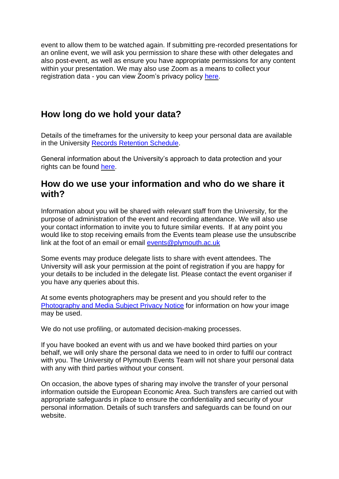event to allow them to be watched again. If submitting pre-recorded presentations for an online event, we will ask you permission to share these with other delegates and also post-event, as well as ensure you have appropriate permissions for any content within your presentation. We may also use Zoom as a means to collect your registration data - you can view Zoom's privacy policy [here.](https://zoom.us/privacy)

## **How long do we hold your data?**

Details of the timeframes for the university to keep your personal data are available in the University [Records Retention Schedule.](https://www.plymouth.ac.uk/uploads/production/document/path/5/5951/Records_Retention_Schedule_v1.0.pdf)

General information about the University's approach to data protection and your rights can be found [here.](https://www.plymouth.ac.uk/uploads/production/document/path/13/13024/Data_Protection_Policy.pdf)

#### **How do we use your information and who do we share it with?**

Information about you will be shared with relevant staff from the University, for the purpose of administration of the event and recording attendance. We will also use your contact information to invite you to future similar events. If at any point you would like to stop receiving emails from the Events team please use the unsubscribe link at the foot of an email or email [events@plymouth.ac.uk](mailto:events@plymouth.ac.uk)

Some events may produce delegate lists to share with event attendees. The University will ask your permission at the point of registration if you are happy for your details to be included in the delegate list. Please contact the event organiser if you have any queries about this.

At some events photographers may be present and you should refer to the [Photography and Media Subject Privacy Notice](https://www.plymouth.ac.uk/students-and-family/governance/information-governance/photography-and-media-subject-privacy-notice) for information on how your image may be used.

We do not use profiling, or automated decision-making processes.

If you have booked an event with us and we have booked third parties on your behalf, we will only share the personal data we need to in order to fulfil our contract with you. The University of Plymouth Events Team will not share your personal data with any with third parties without your consent.

On occasion, the above types of sharing may involve the transfer of your personal information outside the European Economic Area. Such transfers are carried out with appropriate safeguards in place to ensure the confidentiality and security of your personal information. Details of such transfers and safeguards can be found on our website.